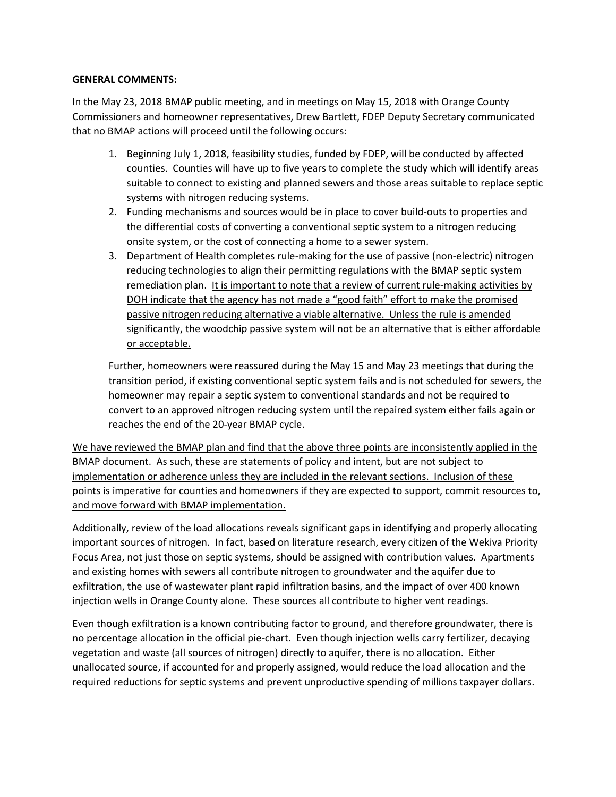#### **GENERAL COMMENTS:**

In the May 23, 2018 BMAP public meeting, and in meetings on May 15, 2018 with Orange County Commissioners and homeowner representatives, Drew Bartlett, FDEP Deputy Secretary communicated that no BMAP actions will proceed until the following occurs:

- 1. Beginning July 1, 2018, feasibility studies, funded by FDEP, will be conducted by affected counties. Counties will have up to five years to complete the study which will identify areas suitable to connect to existing and planned sewers and those areas suitable to replace septic systems with nitrogen reducing systems.
- 2. Funding mechanisms and sources would be in place to cover build-outs to properties and the differential costs of converting a conventional septic system to a nitrogen reducing onsite system, or the cost of connecting a home to a sewer system.
- 3. Department of Health completes rule-making for the use of passive (non-electric) nitrogen reducing technologies to align their permitting regulations with the BMAP septic system remediation plan. It is important to note that a review of current rule-making activities by DOH indicate that the agency has not made a "good faith" effort to make the promised passive nitrogen reducing alternative a viable alternative. Unless the rule is amended significantly, the woodchip passive system will not be an alternative that is either affordable or acceptable.

Further, homeowners were reassured during the May 15 and May 23 meetings that during the transition period, if existing conventional septic system fails and is not scheduled for sewers, the homeowner may repair a septic system to conventional standards and not be required to convert to an approved nitrogen reducing system until the repaired system either fails again or reaches the end of the 20-year BMAP cycle.

We have reviewed the BMAP plan and find that the above three points are inconsistently applied in the BMAP document. As such, these are statements of policy and intent, but are not subject to implementation or adherence unless they are included in the relevant sections. Inclusion of these points is imperative for counties and homeowners if they are expected to support, commit resources to, and move forward with BMAP implementation.

Additionally, review of the load allocations reveals significant gaps in identifying and properly allocating important sources of nitrogen. In fact, based on literature research, every citizen of the Wekiva Priority Focus Area, not just those on septic systems, should be assigned with contribution values. Apartments and existing homes with sewers all contribute nitrogen to groundwater and the aquifer due to exfiltration, the use of wastewater plant rapid infiltration basins, and the impact of over 400 known injection wells in Orange County alone. These sources all contribute to higher vent readings.

Even though exfiltration is a known contributing factor to ground, and therefore groundwater, there is no percentage allocation in the official pie-chart. Even though injection wells carry fertilizer, decaying vegetation and waste (all sources of nitrogen) directly to aquifer, there is no allocation. Either unallocated source, if accounted for and properly assigned, would reduce the load allocation and the required reductions for septic systems and prevent unproductive spending of millions taxpayer dollars.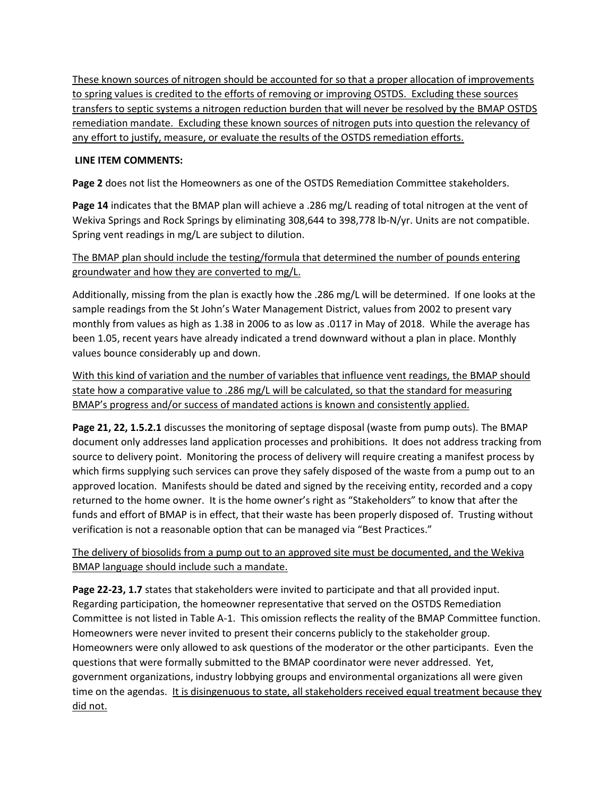These known sources of nitrogen should be accounted for so that a proper allocation of improvements to spring values is credited to the efforts of removing or improving OSTDS. Excluding these sources transfers to septic systems a nitrogen reduction burden that will never be resolved by the BMAP OSTDS remediation mandate. Excluding these known sources of nitrogen puts into question the relevancy of any effort to justify, measure, or evaluate the results of the OSTDS remediation efforts.

### **LINE ITEM COMMENTS:**

**Page 2** does not list the Homeowners as one of the OSTDS Remediation Committee stakeholders.

**Page 14** indicates that the BMAP plan will achieve a .286 mg/L reading of total nitrogen at the vent of Wekiva Springs and Rock Springs by eliminating 308,644 to 398,778 lb-N/yr. Units are not compatible. Spring vent readings in mg/L are subject to dilution.

The BMAP plan should include the testing/formula that determined the number of pounds entering groundwater and how they are converted to mg/L.

Additionally, missing from the plan is exactly how the .286 mg/L will be determined. If one looks at the sample readings from the St John's Water Management District, values from 2002 to present vary monthly from values as high as 1.38 in 2006 to as low as .0117 in May of 2018. While the average has been 1.05, recent years have already indicated a trend downward without a plan in place. Monthly values bounce considerably up and down.

With this kind of variation and the number of variables that influence vent readings, the BMAP should state how a comparative value to .286 mg/L will be calculated, so that the standard for measuring BMAP's progress and/or success of mandated actions is known and consistently applied.

**Page 21, 22, 1.5.2.1** discusses the monitoring of septage disposal (waste from pump outs). The BMAP document only addresses land application processes and prohibitions. It does not address tracking from source to delivery point. Monitoring the process of delivery will require creating a manifest process by which firms supplying such services can prove they safely disposed of the waste from a pump out to an approved location. Manifests should be dated and signed by the receiving entity, recorded and a copy returned to the home owner. It is the home owner's right as "Stakeholders" to know that after the funds and effort of BMAP is in effect, that their waste has been properly disposed of. Trusting without verification is not a reasonable option that can be managed via "Best Practices."

The delivery of biosolids from a pump out to an approved site must be documented, and the Wekiva BMAP language should include such a mandate.

**Page 22-23, 1.7** states that stakeholders were invited to participate and that all provided input. Regarding participation, the homeowner representative that served on the OSTDS Remediation Committee is not listed in Table A-1. This omission reflects the reality of the BMAP Committee function. Homeowners were never invited to present their concerns publicly to the stakeholder group. Homeowners were only allowed to ask questions of the moderator or the other participants. Even the questions that were formally submitted to the BMAP coordinator were never addressed. Yet, government organizations, industry lobbying groups and environmental organizations all were given time on the agendas. It is disingenuous to state, all stakeholders received equal treatment because they did not.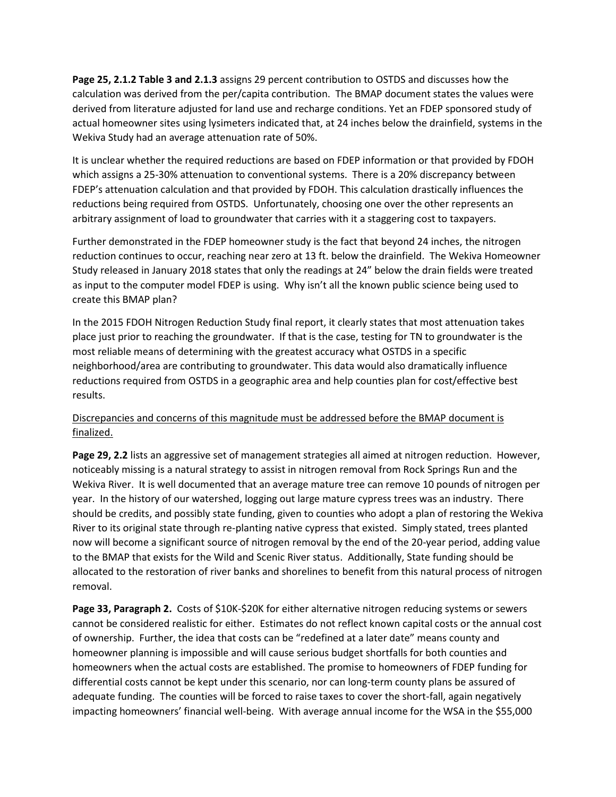**Page 25, 2.1.2 Table 3 and 2.1.3** assigns 29 percent contribution to OSTDS and discusses how the calculation was derived from the per/capita contribution. The BMAP document states the values were derived from literature adjusted for land use and recharge conditions. Yet an FDEP sponsored study of actual homeowner sites using lysimeters indicated that, at 24 inches below the drainfield, systems in the Wekiva Study had an average attenuation rate of 50%.

It is unclear whether the required reductions are based on FDEP information or that provided by FDOH which assigns a 25-30% attenuation to conventional systems. There is a 20% discrepancy between FDEP's attenuation calculation and that provided by FDOH. This calculation drastically influences the reductions being required from OSTDS. Unfortunately, choosing one over the other represents an arbitrary assignment of load to groundwater that carries with it a staggering cost to taxpayers.

Further demonstrated in the FDEP homeowner study is the fact that beyond 24 inches, the nitrogen reduction continues to occur, reaching near zero at 13 ft. below the drainfield. The Wekiva Homeowner Study released in January 2018 states that only the readings at 24" below the drain fields were treated as input to the computer model FDEP is using. Why isn't all the known public science being used to create this BMAP plan?

In the 2015 FDOH Nitrogen Reduction Study final report, it clearly states that most attenuation takes place just prior to reaching the groundwater. If that is the case, testing for TN to groundwater is the most reliable means of determining with the greatest accuracy what OSTDS in a specific neighborhood/area are contributing to groundwater. This data would also dramatically influence reductions required from OSTDS in a geographic area and help counties plan for cost/effective best results.

# Discrepancies and concerns of this magnitude must be addressed before the BMAP document is finalized.

**Page 29, 2.2** lists an aggressive set of management strategies all aimed at nitrogen reduction. However, noticeably missing is a natural strategy to assist in nitrogen removal from Rock Springs Run and the Wekiva River. It is well documented that an average mature tree can remove 10 pounds of nitrogen per year. In the history of our watershed, logging out large mature cypress trees was an industry. There should be credits, and possibly state funding, given to counties who adopt a plan of restoring the Wekiva River to its original state through re-planting native cypress that existed. Simply stated, trees planted now will become a significant source of nitrogen removal by the end of the 20-year period, adding value to the BMAP that exists for the Wild and Scenic River status. Additionally, State funding should be allocated to the restoration of river banks and shorelines to benefit from this natural process of nitrogen removal.

Page 33, Paragraph 2. Costs of \$10K-\$20K for either alternative nitrogen reducing systems or sewers cannot be considered realistic for either. Estimates do not reflect known capital costs or the annual cost of ownership. Further, the idea that costs can be "redefined at a later date" means county and homeowner planning is impossible and will cause serious budget shortfalls for both counties and homeowners when the actual costs are established. The promise to homeowners of FDEP funding for differential costs cannot be kept under this scenario, nor can long-term county plans be assured of adequate funding. The counties will be forced to raise taxes to cover the short-fall, again negatively impacting homeowners' financial well-being. With average annual income for the WSA in the \$55,000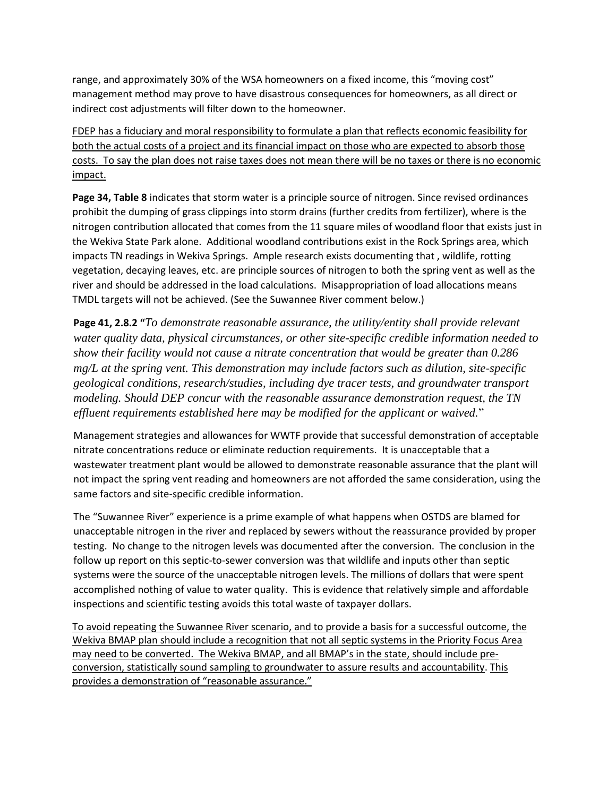range, and approximately 30% of the WSA homeowners on a fixed income, this "moving cost" management method may prove to have disastrous consequences for homeowners, as all direct or indirect cost adjustments will filter down to the homeowner.

FDEP has a fiduciary and moral responsibility to formulate a plan that reflects economic feasibility for both the actual costs of a project and its financial impact on those who are expected to absorb those costs. To say the plan does not raise taxes does not mean there will be no taxes or there is no economic impact.

**Page 34, Table 8** indicates that storm water is a principle source of nitrogen. Since revised ordinances prohibit the dumping of grass clippings into storm drains (further credits from fertilizer), where is the nitrogen contribution allocated that comes from the 11 square miles of woodland floor that exists just in the Wekiva State Park alone. Additional woodland contributions exist in the Rock Springs area, which impacts TN readings in Wekiva Springs. Ample research exists documenting that , wildlife, rotting vegetation, decaying leaves, etc. are principle sources of nitrogen to both the spring vent as well as the river and should be addressed in the load calculations. Misappropriation of load allocations means TMDL targets will not be achieved. (See the Suwannee River comment below.)

**Page 41, 2.8.2 "***To demonstrate reasonable assurance, the utility/entity shall provide relevant water quality data, physical circumstances, or other site-specific credible information needed to show their facility would not cause a nitrate concentration that would be greater than 0.286 mg/L at the spring vent. This demonstration may include factors such as dilution, site-specific geological conditions, research/studies, including dye tracer tests, and groundwater transport modeling. Should DEP concur with the reasonable assurance demonstration request, the TN effluent requirements established here may be modified for the applicant or waived.*"

Management strategies and allowances for WWTF provide that successful demonstration of acceptable nitrate concentrations reduce or eliminate reduction requirements. It is unacceptable that a wastewater treatment plant would be allowed to demonstrate reasonable assurance that the plant will not impact the spring vent reading and homeowners are not afforded the same consideration, using the same factors and site-specific credible information.

The "Suwannee River" experience is a prime example of what happens when OSTDS are blamed for unacceptable nitrogen in the river and replaced by sewers without the reassurance provided by proper testing. No change to the nitrogen levels was documented after the conversion. The conclusion in the follow up report on this septic-to-sewer conversion was that wildlife and inputs other than septic systems were the source of the unacceptable nitrogen levels. The millions of dollars that were spent accomplished nothing of value to water quality. This is evidence that relatively simple and affordable inspections and scientific testing avoids this total waste of taxpayer dollars.

To avoid repeating the Suwannee River scenario, and to provide a basis for a successful outcome, the Wekiva BMAP plan should include a recognition that not all septic systems in the Priority Focus Area may need to be converted. The Wekiva BMAP, and all BMAP's in the state, should include preconversion, statistically sound sampling to groundwater to assure results and accountability. This provides a demonstration of "reasonable assurance."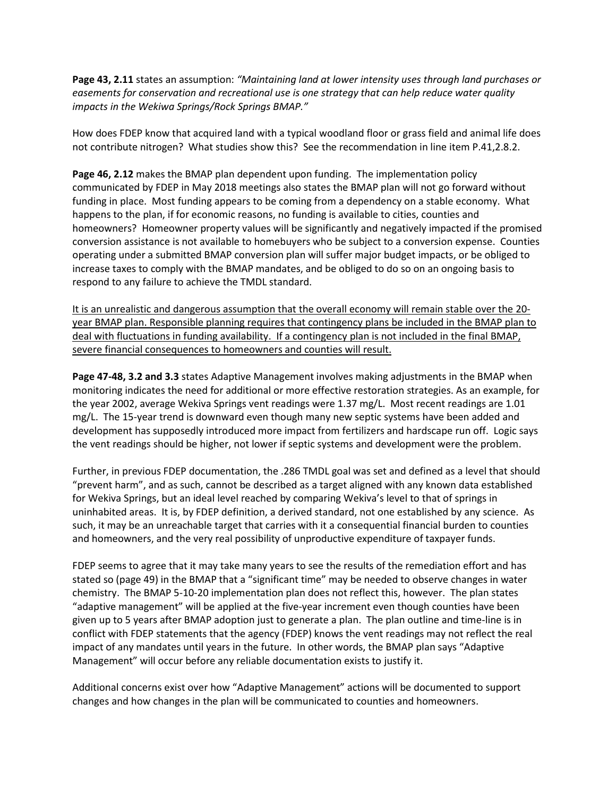**Page 43, 2.11** states an assumption: *"Maintaining land at lower intensity uses through land purchases or easements for conservation and recreational use is one strategy that can help reduce water quality impacts in the Wekiwa Springs/Rock Springs BMAP."*

How does FDEP know that acquired land with a typical woodland floor or grass field and animal life does not contribute nitrogen? What studies show this? See the recommendation in line item P.41,2.8.2.

**Page 46, 2.12** makes the BMAP plan dependent upon funding. The implementation policy communicated by FDEP in May 2018 meetings also states the BMAP plan will not go forward without funding in place. Most funding appears to be coming from a dependency on a stable economy. What happens to the plan, if for economic reasons, no funding is available to cities, counties and homeowners? Homeowner property values will be significantly and negatively impacted if the promised conversion assistance is not available to homebuyers who be subject to a conversion expense. Counties operating under a submitted BMAP conversion plan will suffer major budget impacts, or be obliged to increase taxes to comply with the BMAP mandates, and be obliged to do so on an ongoing basis to respond to any failure to achieve the TMDL standard.

It is an unrealistic and dangerous assumption that the overall economy will remain stable over the 20 year BMAP plan. Responsible planning requires that contingency plans be included in the BMAP plan to deal with fluctuations in funding availability. If a contingency plan is not included in the final BMAP, severe financial consequences to homeowners and counties will result.

**Page 47-48, 3.2 and 3.3** states Adaptive Management involves making adjustments in the BMAP when monitoring indicates the need for additional or more effective restoration strategies. As an example, for the year 2002, average Wekiva Springs vent readings were 1.37 mg/L. Most recent readings are 1.01 mg/L. The 15-year trend is downward even though many new septic systems have been added and development has supposedly introduced more impact from fertilizers and hardscape run off. Logic says the vent readings should be higher, not lower if septic systems and development were the problem.

Further, in previous FDEP documentation, the .286 TMDL goal was set and defined as a level that should "prevent harm", and as such, cannot be described as a target aligned with any known data established for Wekiva Springs, but an ideal level reached by comparing Wekiva's level to that of springs in uninhabited areas. It is, by FDEP definition, a derived standard, not one established by any science. As such, it may be an unreachable target that carries with it a consequential financial burden to counties and homeowners, and the very real possibility of unproductive expenditure of taxpayer funds.

FDEP seems to agree that it may take many years to see the results of the remediation effort and has stated so (page 49) in the BMAP that a "significant time" may be needed to observe changes in water chemistry. The BMAP 5-10-20 implementation plan does not reflect this, however. The plan states "adaptive management" will be applied at the five-year increment even though counties have been given up to 5 years after BMAP adoption just to generate a plan. The plan outline and time-line is in conflict with FDEP statements that the agency (FDEP) knows the vent readings may not reflect the real impact of any mandates until years in the future. In other words, the BMAP plan says "Adaptive Management" will occur before any reliable documentation exists to justify it.

Additional concerns exist over how "Adaptive Management" actions will be documented to support changes and how changes in the plan will be communicated to counties and homeowners.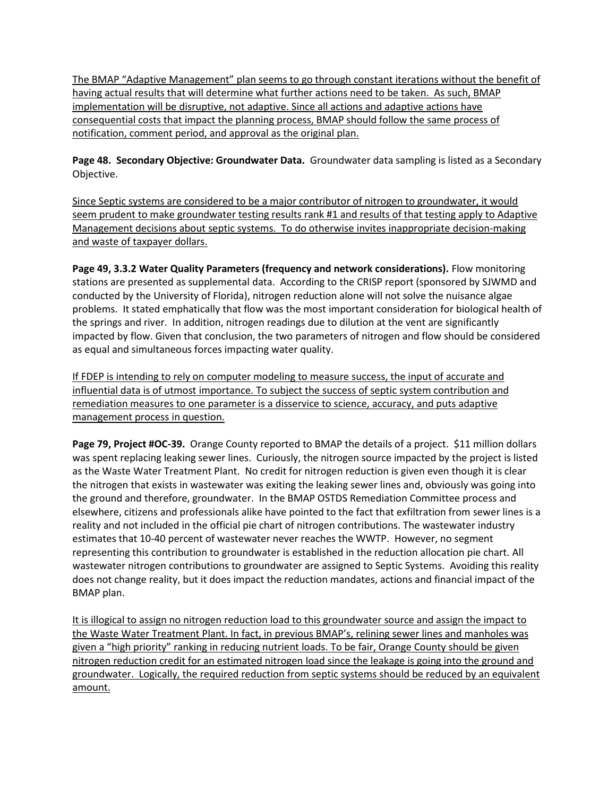The BMAP "Adaptive Management" plan seems to go through constant iterations without the benefit of having actual results that will determine what further actions need to be taken. As such, BMAP implementation will be disruptive, not adaptive. Since all actions and adaptive actions have consequential costs that impact the planning process, BMAP should follow the same process of notification, comment period, and approval as the original plan.

**Page 48. Secondary Objective: Groundwater Data.** Groundwater data sampling is listed as a Secondary Objective.

Since Septic systems are considered to be a major contributor of nitrogen to groundwater, it would seem prudent to make groundwater testing results rank #1 and results of that testing apply to Adaptive Management decisions about septic systems. To do otherwise invites inappropriate decision-making and waste of taxpayer dollars.

**Page 49, 3.3.2 Water Quality Parameters (frequency and network considerations).** Flow monitoring stations are presented as supplemental data. According to the CRISP report (sponsored by SJWMD and conducted by the University of Florida), nitrogen reduction alone will not solve the nuisance algae problems. It stated emphatically that flow was the most important consideration for biological health of the springs and river. In addition, nitrogen readings due to dilution at the vent are significantly impacted by flow. Given that conclusion, the two parameters of nitrogen and flow should be considered as equal and simultaneous forces impacting water quality.

If FDEP is intending to rely on computer modeling to measure success, the input of accurate and influential data is of utmost importance. To subject the success of septic system contribution and remediation measures to one parameter is a disservice to science, accuracy, and puts adaptive management process in question.

Page 79, Project #OC-39. Orange County reported to BMAP the details of a project. \$11 million dollars was spent replacing leaking sewer lines. Curiously, the nitrogen source impacted by the project is listed as the Waste Water Treatment Plant. No credit for nitrogen reduction is given even though it is clear the nitrogen that exists in wastewater was exiting the leaking sewer lines and, obviously was going into the ground and therefore, groundwater. In the BMAP OSTDS Remediation Committee process and elsewhere, citizens and professionals alike have pointed to the fact that exfiltration from sewer lines is a reality and not included in the official pie chart of nitrogen contributions. The wastewater industry estimates that 10-40 percent of wastewater never reaches the WWTP. However, no segment representing this contribution to groundwater is established in the reduction allocation pie chart. All wastewater nitrogen contributions to groundwater are assigned to Septic Systems. Avoiding this reality does not change reality, but it does impact the reduction mandates, actions and financial impact of the BMAP plan.

It is illogical to assign no nitrogen reduction load to this groundwater source and assign the impact to the Waste Water Treatment Plant. In fact, in previous BMAP's, relining sewer lines and manholes was given a "high priority" ranking in reducing nutrient loads. To be fair, Orange County should be given nitrogen reduction credit for an estimated nitrogen load since the leakage is going into the ground and groundwater. Logically, the required reduction from septic systems should be reduced by an equivalent amount.